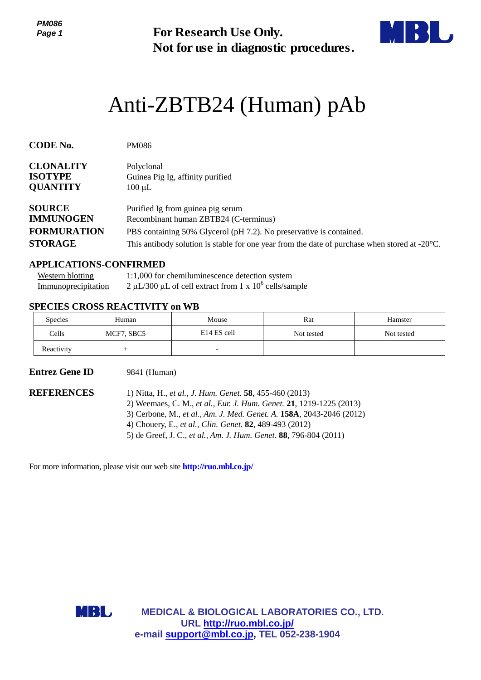*PM086 Page 1*



# Anti-ZBTB24 (Human) pAb

| Page 1                                                |                                                                              | <b>For Research Use Only.</b><br>Not for use in diagnostic procedures.                                                                                                                                                                                                                                                                 |            |                                                                                                         |  |  |
|-------------------------------------------------------|------------------------------------------------------------------------------|----------------------------------------------------------------------------------------------------------------------------------------------------------------------------------------------------------------------------------------------------------------------------------------------------------------------------------------|------------|---------------------------------------------------------------------------------------------------------|--|--|
|                                                       |                                                                              | Anti-ZBTB24 (Human) pAb                                                                                                                                                                                                                                                                                                                |            |                                                                                                         |  |  |
| <b>CODE No.</b>                                       | <b>PM086</b>                                                                 |                                                                                                                                                                                                                                                                                                                                        |            |                                                                                                         |  |  |
| <b>CLONALITY</b><br><b>ISOTYPE</b><br><b>QUANTITY</b> | Polyclonal<br>$100 \mu L$                                                    | Guinea Pig Ig, affinity purified                                                                                                                                                                                                                                                                                                       |            |                                                                                                         |  |  |
| <b>SOURCE</b><br><b>IMMUNOGEN</b>                     |                                                                              | Purified Ig from guinea pig serum<br>Recombinant human ZBTB24 (C-terminus)                                                                                                                                                                                                                                                             |            |                                                                                                         |  |  |
| <b>FORMURATION</b><br><b>STORAGE</b>                  |                                                                              | PBS containing 50% Glycerol (pH 7.2). No preservative is contained.                                                                                                                                                                                                                                                                    |            | This antibody solution is stable for one year from the date of purchase when stored at $-20^{\circ}$ C. |  |  |
| <b>Western blotting</b><br>Immunoprecipitation        | <b>APPLICATIONS-CONFIRMED</b><br><b>SPECIES CROSS REACTIVITY on WB</b>       | 1:1,000 for chemiluminescence detection system<br>2 µL/300 µL of cell extract from 1 x $10^6$ cells/sample                                                                                                                                                                                                                             |            |                                                                                                         |  |  |
| Species                                               | Human                                                                        | Mouse                                                                                                                                                                                                                                                                                                                                  | Rat        | Hamster                                                                                                 |  |  |
| Cells                                                 | MCF7, SBC5                                                                   | E14 ES cell                                                                                                                                                                                                                                                                                                                            | Not tested | Not tested                                                                                              |  |  |
| Reactivity                                            | $\! + \!\!\!\!$                                                              |                                                                                                                                                                                                                                                                                                                                        |            |                                                                                                         |  |  |
| <b>Entrez Gene ID</b><br><b>REFERENCES</b>            | 9841 (Human)                                                                 |                                                                                                                                                                                                                                                                                                                                        |            |                                                                                                         |  |  |
|                                                       |                                                                              | 1) Nitta, H., et al., J. Hum. Genet. 58, 455-460 (2013)<br>2) Weemaes, C. M., et al., Eur. J. Hum. Genet. 21, 1219-1225 (2013)<br>3) Cerbone, M., et al., Am. J. Med. Genet. A. 158A, 2043-2046 (2012)<br>4) Chouery, E., et al., Clin. Genet. 82, 489-493 (2012)<br>5) de Greef, J. C., et al., Am. J. Hum. Genet. 88, 796-804 (2011) |            |                                                                                                         |  |  |
|                                                       | For more information, please visit our web site <b>http://ruo.mbl.co.jp/</b> |                                                                                                                                                                                                                                                                                                                                        |            |                                                                                                         |  |  |
|                                                       |                                                                              |                                                                                                                                                                                                                                                                                                                                        |            |                                                                                                         |  |  |
|                                                       |                                                                              |                                                                                                                                                                                                                                                                                                                                        |            |                                                                                                         |  |  |
|                                                       | MBL,                                                                         | <b>MEDICAL &amp; BIOLOGICAL LABORATORIES CO., LTD.</b><br>URL http://ruo.mbl.co.jp/                                                                                                                                                                                                                                                    |            |                                                                                                         |  |  |
|                                                       |                                                                              | e-mail support@mbl.co.jp, TEL 052-238-1904                                                                                                                                                                                                                                                                                             |            |                                                                                                         |  |  |

### **APPLICATIONS-CONFIRMED**

| <b>Western blotting</b> | 1:1,000 for chemiluminescence detection system           |
|-------------------------|----------------------------------------------------------|
| Immunoprecipitation     | 2 µL/300 µL of cell extract from 1 x $10^6$ cells/sample |

## **SPECIES CROSS REACTIVITY on WB**

| <b>Species</b> | Human      | Mouse                    | Rat        | Hamster    |
|----------------|------------|--------------------------|------------|------------|
| Cells          | MCF7, SBC5 | E <sub>14</sub> ES cell  | Not tested | Not tested |
| Reactivity     |            | $\overline{\phantom{0}}$ |            |            |

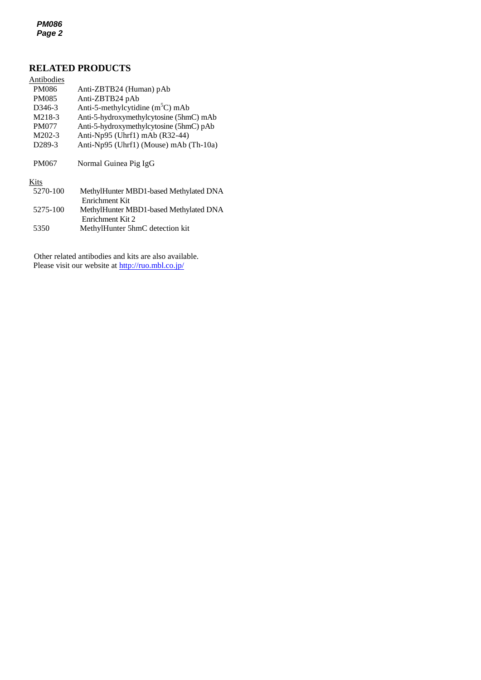## **RELATED PRODUCTS**

| Antibodies          |                                                            |
|---------------------|------------------------------------------------------------|
| PM086               | Anti-ZBTB24 (Human) pAb                                    |
| <b>PM085</b>        | Anti-ZBTB24 pAb                                            |
| D <sub>346</sub> -3 | Anti-5-methylcytidine $(m5C)$ mAb                          |
| M218-3              | Anti-5-hydroxymethylcytosine (5hmC) mAb                    |
| <b>PM077</b>        | Anti-5-hydroxymethylcytosine (5hmC) pAb                    |
| $M202-3$            | Anti-Np95 (Uhrf1) mAb (R32-44)                             |
| D <sub>289</sub> -3 | Anti-Np95 (Uhrf1) (Mouse) mAb (Th-10a)                     |
| PM067               | Normal Guinea Pig IgG                                      |
| Kits                |                                                            |
| 5270-100            | MethylHunter MBD1-based Methylated DNA<br>Enrichment Kit   |
| 5275-100            | MethylHunter MBD1-based Methylated DNA<br>Enrichment Kit 2 |
| 5350                | MethylHunter 5hmC detection kit                            |

Other related antibodies and kits are also available. Please visit our website at<http://ruo.mbl.co.jp/>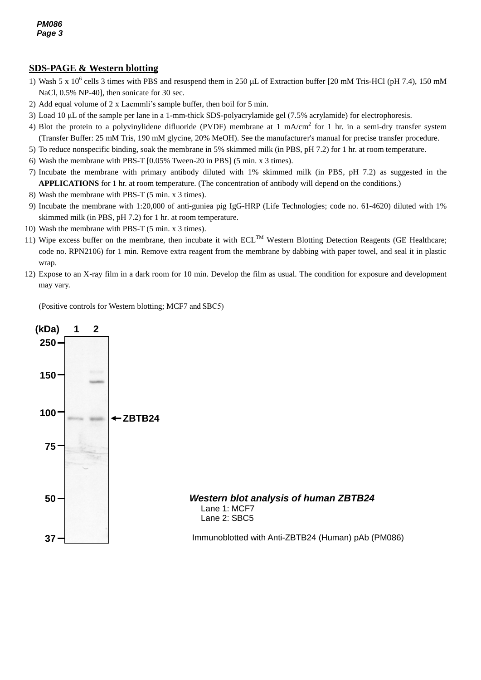## **SDS-PAGE & Western blotting**

- NaCl, 0.5% NP-40], then sonicate for 30 sec. 1) Wash 5 x  $10^6$  cells 3 times with PBS and resuspend them in 250  $\mu$ L of Extraction buffer [20 mM Tris-HCl (pH 7.4), 150 mM
- 2) Add equal volume of 2 x Laemmli's sample buffer, then boil for 5 min.
- 3) Load 10 µL of the sample per lane in a 1-mm-thick SDS-polyacrylamide gel (7.5% acrylamide) for electrophoresis.
- 4) Blot the protein to a polyvinylidene difluoride (PVDF) membrane at 1 mA/cm<sup>2</sup> for 1 hr. in a semi-dry transfer system (Transfer Buffer: 25 mM Tris, 190 mM glycine, 20% MeOH). See the manufacturer's manual for precise transfer procedure.
- 5) To reduce nonspecific binding, soak the membrane in 5% skimmed milk (in PBS, pH 7.2) for 1 hr. at room temperature.
- 6) Wash the membrane with PBS-T [0.05% Tween-20 in PBS] (5 min. x 3 times).
- 7) Incubate the membrane with primary antibody diluted with 1% skimmed milk (in PBS, pH 7.2) as suggested in the **APPLICATIONS** for 1 hr. at room temperature. (The concentration of antibody will depend on the conditions.)
- 8) Wash the membrane with PBS-T (5 min. x 3 times).
- 9) Incubate the membrane with 1:20,000 of anti-guniea pig IgG-HRP (Life Technologies; code no. 61-4620) diluted with 1% skimmed milk (in PBS, pH 7.2) for 1 hr. at room temperature.
- 10) Wash the membrane with PBS-T (5 min. x 3 times).
- 11) Wipe excess buffer on the membrane, then incubate it with  $ECL^{TM}$  Western Blotting Detection Reagents (GE Healthcare; code no. RPN2106) for 1 min. Remove extra reagent from the membrane by dabbing with paper towel, and seal it in plastic wrap.
- 12) Expose to an X-ray film in a dark room for 10 min. Develop the film as usual. The condition for exposure and development may vary.

(Positive controls for Western blotting; MCF7 and SBC5)